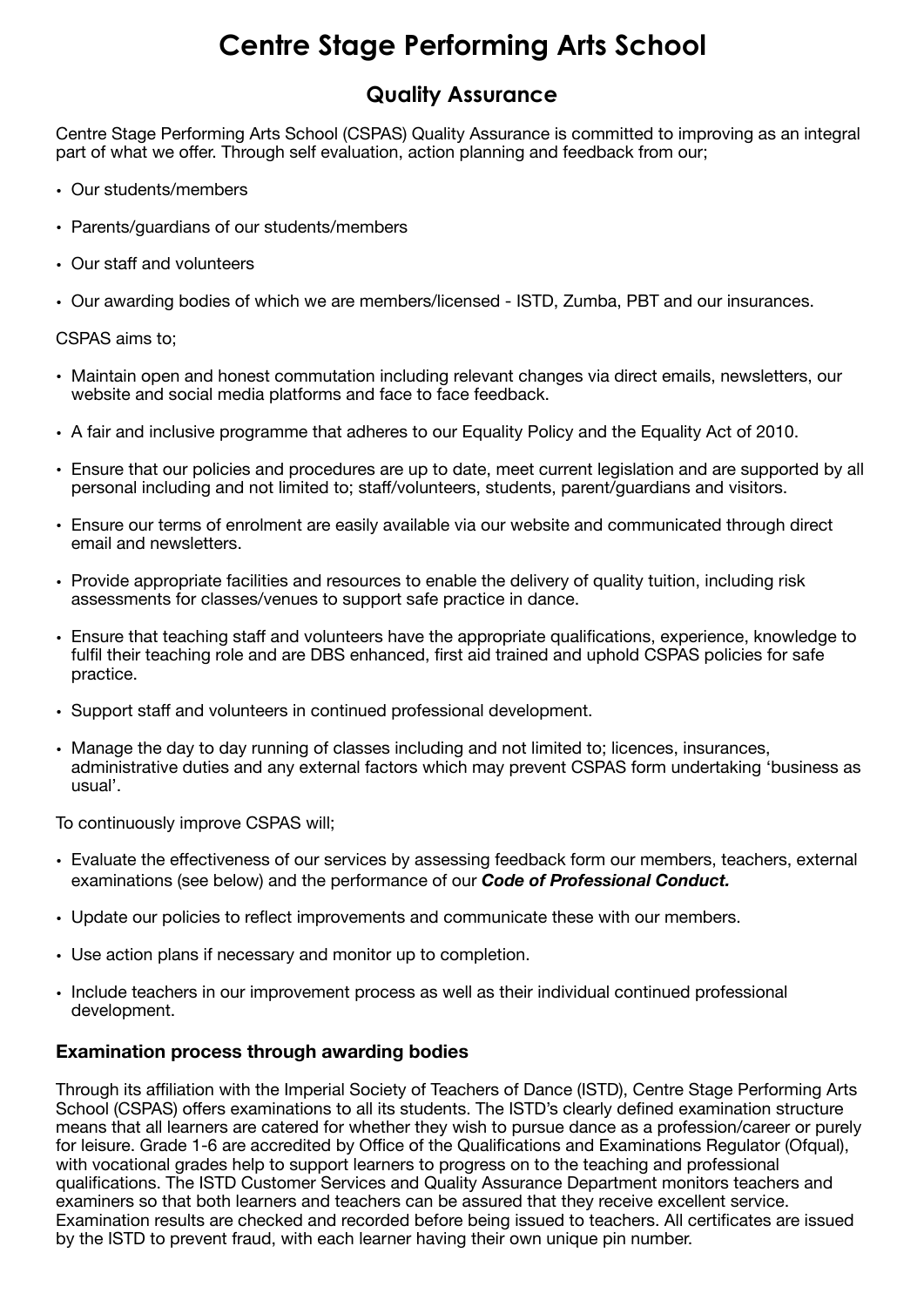## **Centre Stage Performing Arts School**

## **Quality Assurance**

Centre Stage Performing Arts School (CSPAS) Quality Assurance is committed to improving as an integral part of what we offer. Through self evaluation, action planning and feedback from our;

- Our students/members
- Parents/guardians of our students/members
- Our staff and volunteers
- Our awarding bodies of which we are members/licensed ISTD, Zumba, PBT and our insurances.

## CSPAS aims to;

- Maintain open and honest commutation including relevant changes via direct emails, newsletters, our website and social media platforms and face to face feedback.
- A fair and inclusive programme that adheres to our Equality Policy and the Equality Act of 2010.
- Ensure that our policies and procedures are up to date, meet current legislation and are supported by all personal including and not limited to; staff/volunteers, students, parent/guardians and visitors.
- Ensure our terms of enrolment are easily available via our website and communicated through direct email and newsletters.
- Provide appropriate facilities and resources to enable the delivery of quality tuition, including risk assessments for classes/venues to support safe practice in dance.
- Ensure that teaching staff and volunteers have the appropriate qualifications, experience, knowledge to fulfil their teaching role and are DBS enhanced, first aid trained and uphold CSPAS policies for safe practice.
- Support staff and volunteers in continued professional development.
- Manage the day to day running of classes including and not limited to; licences, insurances, administrative duties and any external factors which may prevent CSPAS form undertaking 'business as usual'.

To continuously improve CSPAS will;

- Evaluate the effectiveness of our services by assessing feedback form our members, teachers, external examinations (see below) and the performance of our *Code of Professional Conduct.*
- Update our policies to reflect improvements and communicate these with our members.
- Use action plans if necessary and monitor up to completion.
- Include teachers in our improvement process as well as their individual continued professional development.

## **Examination process through awarding bodies**

Through its affiliation with the Imperial Society of Teachers of Dance (ISTD), Centre Stage Performing Arts School (CSPAS) offers examinations to all its students. The ISTD's clearly defined examination structure means that all learners are catered for whether they wish to pursue dance as a profession/career or purely for leisure. Grade 1-6 are accredited by Office of the Qualifications and Examinations Regulator (Ofqual), with vocational grades help to support learners to progress on to the teaching and professional qualifications. The ISTD Customer Services and Quality Assurance Department monitors teachers and examiners so that both learners and teachers can be assured that they receive excellent service. Examination results are checked and recorded before being issued to teachers. All certificates are issued by the ISTD to prevent fraud, with each learner having their own unique pin number.